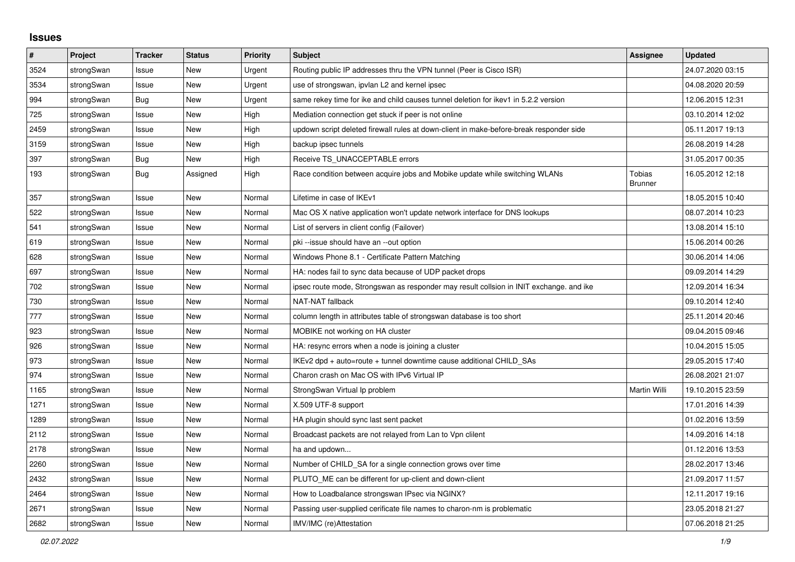## **Issues**

| #    | Project    | <b>Tracker</b> | <b>Status</b> | Priority | <b>Subject</b>                                                                          | Assignee                 | <b>Updated</b>   |
|------|------------|----------------|---------------|----------|-----------------------------------------------------------------------------------------|--------------------------|------------------|
| 3524 | strongSwan | Issue          | <b>New</b>    | Urgent   | Routing public IP addresses thru the VPN tunnel (Peer is Cisco ISR)                     |                          | 24.07.2020 03:15 |
| 3534 | strongSwan | Issue          | <b>New</b>    | Urgent   | use of strongswan, ipvlan L2 and kernel ipsec                                           |                          | 04.08.2020 20:59 |
| 994  | strongSwan | <b>Bug</b>     | New           | Urgent   | same rekey time for ike and child causes tunnel deletion for ikev1 in 5.2.2 version     |                          | 12.06.2015 12:31 |
| 725  | strongSwan | Issue          | New           | High     | Mediation connection get stuck if peer is not online                                    |                          | 03.10.2014 12:02 |
| 2459 | strongSwan | Issue          | <b>New</b>    | High     | updown script deleted firewall rules at down-client in make-before-break responder side |                          | 05.11.2017 19:13 |
| 3159 | strongSwan | Issue          | <b>New</b>    | High     | backup ipsec tunnels                                                                    |                          | 26.08.2019 14:28 |
| 397  | strongSwan | Bug            | New           | High     | Receive TS UNACCEPTABLE errors                                                          |                          | 31.05.2017 00:35 |
| 193  | strongSwan | Bug            | Assigned      | High     | Race condition between acquire jobs and Mobike update while switching WLANs             | Tobias<br><b>Brunner</b> | 16.05.2012 12:18 |
| 357  | strongSwan | Issue          | New           | Normal   | Lifetime in case of IKEv1                                                               |                          | 18.05.2015 10:40 |
| 522  | strongSwan | Issue          | <b>New</b>    | Normal   | Mac OS X native application won't update network interface for DNS lookups              |                          | 08.07.2014 10:23 |
| 541  | strongSwan | Issue          | <b>New</b>    | Normal   | List of servers in client config (Failover)                                             |                          | 13.08.2014 15:10 |
| 619  | strongSwan | Issue          | <b>New</b>    | Normal   | pki --issue should have an --out option                                                 |                          | 15.06.2014 00:26 |
| 628  | strongSwan | Issue          | New           | Normal   | Windows Phone 8.1 - Certificate Pattern Matching                                        |                          | 30.06.2014 14:06 |
| 697  | strongSwan | Issue          | <b>New</b>    | Normal   | HA: nodes fail to sync data because of UDP packet drops                                 |                          | 09.09.2014 14:29 |
| 702  | strongSwan | Issue          | New           | Normal   | ipsec route mode, Strongswan as responder may result collsion in INIT exchange. and ike |                          | 12.09.2014 16:34 |
| 730  | strongSwan | Issue          | New           | Normal   | NAT-NAT fallback                                                                        |                          | 09.10.2014 12:40 |
| 777  | strongSwan | Issue          | <b>New</b>    | Normal   | column length in attributes table of strongswan database is too short                   |                          | 25.11.2014 20:46 |
| 923  | strongSwan | Issue          | <b>New</b>    | Normal   | MOBIKE not working on HA cluster                                                        |                          | 09.04.2015 09:46 |
| 926  | strongSwan | Issue          | New           | Normal   | HA: resync errors when a node is joining a cluster                                      |                          | 10.04.2015 15:05 |
| 973  | strongSwan | Issue          | New           | Normal   | IKEv2 dpd + auto=route + tunnel downtime cause additional CHILD SAs                     |                          | 29.05.2015 17:40 |
| 974  | strongSwan | Issue          | <b>New</b>    | Normal   | Charon crash on Mac OS with IPv6 Virtual IP                                             |                          | 26.08.2021 21:07 |
| 1165 | strongSwan | Issue          | <b>New</b>    | Normal   | StrongSwan Virtual Ip problem                                                           | Martin Willi             | 19.10.2015 23:59 |
| 1271 | strongSwan | Issue          | <b>New</b>    | Normal   | X.509 UTF-8 support                                                                     |                          | 17.01.2016 14:39 |
| 1289 | strongSwan | Issue          | <b>New</b>    | Normal   | HA plugin should sync last sent packet                                                  |                          | 01.02.2016 13:59 |
| 2112 | strongSwan | Issue          | <b>New</b>    | Normal   | Broadcast packets are not relayed from Lan to Vpn clilent                               |                          | 14.09.2016 14:18 |
| 2178 | strongSwan | Issue          | New           | Normal   | ha and updown                                                                           |                          | 01.12.2016 13:53 |
| 2260 | strongSwan | Issue          | <b>New</b>    | Normal   | Number of CHILD_SA for a single connection grows over time                              |                          | 28.02.2017 13:46 |
| 2432 | strongSwan | Issue          | <b>New</b>    | Normal   | PLUTO ME can be different for up-client and down-client                                 |                          | 21.09.2017 11:57 |
| 2464 | strongSwan | Issue          | New           | Normal   | How to Loadbalance strongswan IPsec via NGINX?                                          |                          | 12.11.2017 19:16 |
| 2671 | strongSwan | Issue          | <b>New</b>    | Normal   | Passing user-supplied cerificate file names to charon-nm is problematic                 |                          | 23.05.2018 21:27 |
| 2682 | strongSwan | Issue          | New           | Normal   | IMV/IMC (re)Attestation                                                                 |                          | 07.06.2018 21:25 |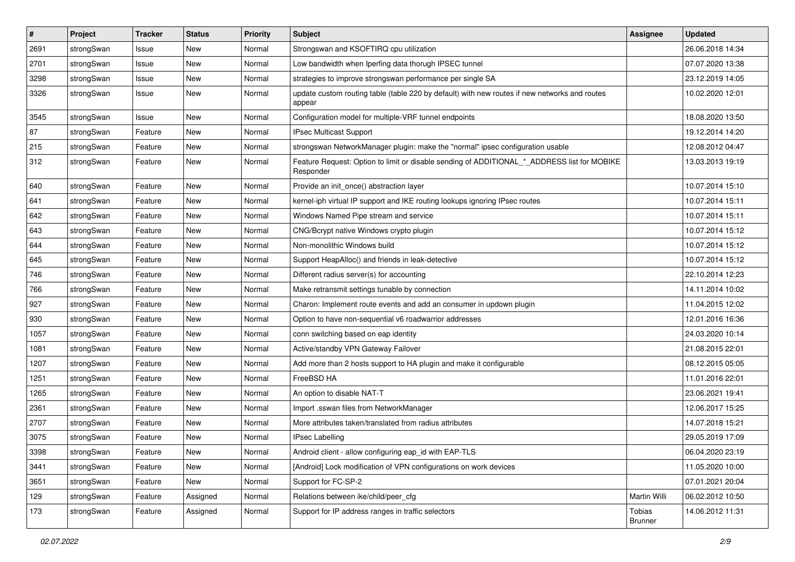| $\vert$ # | Project    | <b>Tracker</b> | <b>Status</b> | <b>Priority</b> | Subject                                                                                                  | <b>Assignee</b>   | <b>Updated</b>   |
|-----------|------------|----------------|---------------|-----------------|----------------------------------------------------------------------------------------------------------|-------------------|------------------|
| 2691      | strongSwan | Issue          | New           | Normal          | Strongswan and KSOFTIRQ cpu utilization                                                                  |                   | 26.06.2018 14:34 |
| 2701      | strongSwan | Issue          | <b>New</b>    | Normal          | Low bandwidth when Iperfing data thorugh IPSEC tunnel                                                    |                   | 07.07.2020 13:38 |
| 3298      | strongSwan | Issue          | New           | Normal          | strategies to improve strongswan performance per single SA                                               |                   | 23.12.2019 14:05 |
| 3326      | strongSwan | Issue          | New           | Normal          | update custom routing table (table 220 by default) with new routes if new networks and routes<br>appear  |                   | 10.02.2020 12:01 |
| 3545      | strongSwan | Issue          | <b>New</b>    | Normal          | Configuration model for multiple-VRF tunnel endpoints                                                    |                   | 18.08.2020 13:50 |
| 87        | strongSwan | Feature        | New           | Normal          | IPsec Multicast Support                                                                                  |                   | 19.12.2014 14:20 |
| 215       | strongSwan | Feature        | New           | Normal          | strongswan NetworkManager plugin: make the "normal" ipsec configuration usable                           |                   | 12.08.2012 04:47 |
| 312       | strongSwan | Feature        | New           | Normal          | Feature Request: Option to limit or disable sending of ADDITIONAL * ADDRESS list for MOBIKE<br>Responder |                   | 13.03.2013 19:19 |
| 640       | strongSwan | Feature        | <b>New</b>    | Normal          | Provide an init_once() abstraction layer                                                                 |                   | 10.07.2014 15:10 |
| 641       | strongSwan | Feature        | New           | Normal          | kernel-iph virtual IP support and IKE routing lookups ignoring IPsec routes                              |                   | 10.07.2014 15:11 |
| 642       | strongSwan | Feature        | <b>New</b>    | Normal          | Windows Named Pipe stream and service                                                                    |                   | 10.07.2014 15:11 |
| 643       | strongSwan | Feature        | New           | Normal          | CNG/Bcrypt native Windows crypto plugin                                                                  |                   | 10.07.2014 15:12 |
| 644       | strongSwan | Feature        | New           | Normal          | Non-monolithic Windows build                                                                             |                   | 10.07.2014 15:12 |
| 645       | strongSwan | Feature        | New           | Normal          | Support HeapAlloc() and friends in leak-detective                                                        |                   | 10.07.2014 15:12 |
| 746       | strongSwan | Feature        | New           | Normal          | Different radius server(s) for accounting                                                                |                   | 22.10.2014 12:23 |
| 766       | strongSwan | Feature        | New           | Normal          | Make retransmit settings tunable by connection                                                           |                   | 14.11.2014 10:02 |
| 927       | strongSwan | Feature        | New           | Normal          | Charon: Implement route events and add an consumer in updown plugin                                      |                   | 11.04.2015 12:02 |
| 930       | strongSwan | Feature        | New           | Normal          | Option to have non-sequential v6 roadwarrior addresses                                                   |                   | 12.01.2016 16:36 |
| 1057      | strongSwan | Feature        | New           | Normal          | conn switching based on eap identity                                                                     |                   | 24.03.2020 10:14 |
| 1081      | strongSwan | Feature        | New           | Normal          | Active/standby VPN Gateway Failover                                                                      |                   | 21.08.2015 22:01 |
| 1207      | strongSwan | Feature        | New           | Normal          | Add more than 2 hosts support to HA plugin and make it configurable                                      |                   | 08.12.2015 05:05 |
| 1251      | strongSwan | Feature        | New           | Normal          | FreeBSD HA                                                                                               |                   | 11.01.2016 22:01 |
| 1265      | strongSwan | Feature        | <b>New</b>    | Normal          | An option to disable NAT-T                                                                               |                   | 23.06.2021 19:41 |
| 2361      | strongSwan | Feature        | New           | Normal          | Import .sswan files from NetworkManager                                                                  |                   | 12.06.2017 15:25 |
| 2707      | strongSwan | Feature        | New           | Normal          | More attributes taken/translated from radius attributes                                                  |                   | 14.07.2018 15:21 |
| 3075      | strongSwan | Feature        | New           | Normal          | <b>IPsec Labelling</b>                                                                                   |                   | 29.05.2019 17:09 |
| 3398      | strongSwan | Feature        | New           | Normal          | Android client - allow configuring eap_id with EAP-TLS                                                   |                   | 06.04.2020 23:19 |
| 3441      | strongSwan | Feature        | <b>New</b>    | Normal          | [Android] Lock modification of VPN configurations on work devices                                        |                   | 11.05.2020 10:00 |
| 3651      | strongSwan | Feature        | New           | Normal          | Support for FC-SP-2                                                                                      |                   | 07.01.2021 20:04 |
| 129       | strongSwan | Feature        | Assigned      | Normal          | Relations between ike/child/peer_cfg                                                                     | Martin Willi      | 06.02.2012 10:50 |
| 173       | strongSwan | Feature        | Assigned      | Normal          | Support for IP address ranges in traffic selectors                                                       | Tobias<br>Brunner | 14.06.2012 11:31 |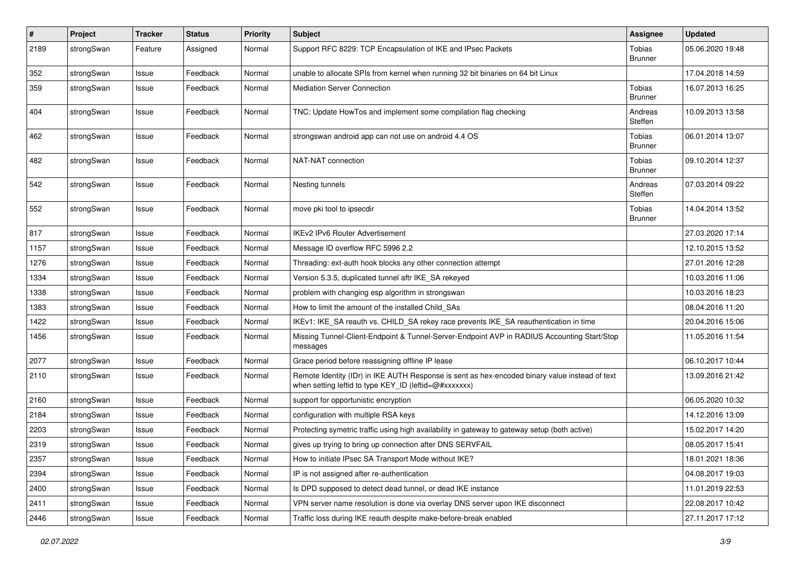| $\sharp$ | Project    | <b>Tracker</b> | <b>Status</b> | <b>Priority</b> | <b>Subject</b>                                                                                                                                          | <b>Assignee</b>          | <b>Updated</b>   |
|----------|------------|----------------|---------------|-----------------|---------------------------------------------------------------------------------------------------------------------------------------------------------|--------------------------|------------------|
| 2189     | strongSwan | Feature        | Assigned      | Normal          | Support RFC 8229: TCP Encapsulation of IKE and IPsec Packets                                                                                            | Tobias<br><b>Brunner</b> | 05.06.2020 19:48 |
| 352      | strongSwan | Issue          | Feedback      | Normal          | unable to allocate SPIs from kernel when running 32 bit binaries on 64 bit Linux                                                                        |                          | 17.04.2018 14:59 |
| 359      | strongSwan | Issue          | Feedback      | Normal          | <b>Mediation Server Connection</b>                                                                                                                      | Tobias<br><b>Brunner</b> | 16.07.2013 16:25 |
| 404      | strongSwan | Issue          | Feedback      | Normal          | TNC: Update HowTos and implement some compilation flag checking                                                                                         | Andreas<br>Steffen       | 10.09.2013 13:58 |
| 462      | strongSwan | Issue          | Feedback      | Normal          | strongswan android app can not use on android 4.4 OS                                                                                                    | Tobias<br><b>Brunner</b> | 06.01.2014 13:07 |
| 482      | strongSwan | Issue          | Feedback      | Normal          | NAT-NAT connection                                                                                                                                      | Tobias<br><b>Brunner</b> | 09.10.2014 12:37 |
| 542      | strongSwan | Issue          | Feedback      | Normal          | Nesting tunnels                                                                                                                                         | Andreas<br>Steffen       | 07.03.2014 09:22 |
| 552      | strongSwan | Issue          | Feedback      | Normal          | move pki tool to ipsecdir                                                                                                                               | Tobias<br><b>Brunner</b> | 14.04.2014 13:52 |
| 817      | strongSwan | Issue          | Feedback      | Normal          | <b>IKEv2 IPv6 Router Advertisement</b>                                                                                                                  |                          | 27.03.2020 17:14 |
| 1157     | strongSwan | Issue          | Feedback      | Normal          | Message ID overflow RFC 5996 2.2                                                                                                                        |                          | 12.10.2015 13:52 |
| 1276     | strongSwan | Issue          | Feedback      | Normal          | Threading: ext-auth hook blocks any other connection attempt                                                                                            |                          | 27.01.2016 12:28 |
| 1334     | strongSwan | Issue          | Feedback      | Normal          | Version 5.3.5, duplicated tunnel aftr IKE_SA rekeyed                                                                                                    |                          | 10.03.2016 11:06 |
| 1338     | strongSwan | Issue          | Feedback      | Normal          | problem with changing esp algorithm in strongswan                                                                                                       |                          | 10.03.2016 18:23 |
| 1383     | strongSwan | Issue          | Feedback      | Normal          | How to limit the amount of the installed Child_SAs                                                                                                      |                          | 08.04.2016 11:20 |
| 1422     | strongSwan | Issue          | Feedback      | Normal          | IKEv1: IKE_SA reauth vs. CHILD_SA rekey race prevents IKE_SA reauthentication in time                                                                   |                          | 20.04.2016 15:06 |
| 1456     | strongSwan | Issue          | Feedback      | Normal          | Missing Tunnel-Client-Endpoint & Tunnel-Server-Endpoint AVP in RADIUS Accounting Start/Stop<br>messages                                                 |                          | 11.05.2016 11:54 |
| 2077     | strongSwan | Issue          | Feedback      | Normal          | Grace period before reassigning offline IP lease                                                                                                        |                          | 06.10.2017 10:44 |
| 2110     | strongSwan | Issue          | Feedback      | Normal          | Remote Identity (IDr) in IKE AUTH Response is sent as hex-encoded binary value instead of text<br>when setting leftid to type KEY_ID (leftid=@#xxxxxxx) |                          | 13.09.2016 21:42 |
| 2160     | strongSwan | Issue          | Feedback      | Normal          | support for opportunistic encryption                                                                                                                    |                          | 06.05.2020 10:32 |
| 2184     | strongSwan | Issue          | Feedback      | Normal          | configuration with multiple RSA keys                                                                                                                    |                          | 14.12.2016 13:09 |
| 2203     | strongSwan | Issue          | Feedback      | Normal          | Protecting symetric traffic using high availability in gateway to gateway setup (both active)                                                           |                          | 15.02.2017 14:20 |
| 2319     | strongSwan | Issue          | Feedback      | Normal          | gives up trying to bring up connection after DNS SERVFAIL                                                                                               |                          | 08.05.2017 15:41 |
| 2357     | strongSwan | Issue          | Feedback      | Normal          | How to initiate IPsec SA Transport Mode without IKE?                                                                                                    |                          | 18.01.2021 18:36 |
| 2394     | strongSwan | Issue          | Feedback      | Normal          | IP is not assigned after re-authentication                                                                                                              |                          | 04.08.2017 19:03 |
| 2400     | strongSwan | Issue          | Feedback      | Normal          | Is DPD supposed to detect dead tunnel, or dead IKE instance                                                                                             |                          | 11.01.2019 22:53 |
| 2411     | strongSwan | Issue          | Feedback      | Normal          | VPN server name resolution is done via overlay DNS server upon IKE disconnect                                                                           |                          | 22.08.2017 10:42 |
| 2446     | strongSwan | Issue          | Feedback      | Normal          | Traffic loss during IKE reauth despite make-before-break enabled                                                                                        |                          | 27.11.2017 17:12 |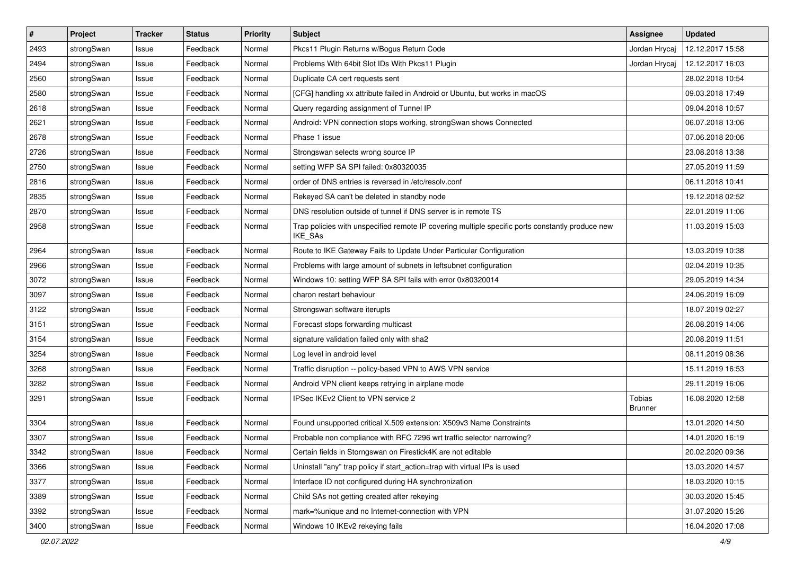| $\pmb{\#}$ | Project    | <b>Tracker</b> | <b>Status</b> | <b>Priority</b> | Subject                                                                                                            | <b>Assignee</b>                 | <b>Updated</b>   |
|------------|------------|----------------|---------------|-----------------|--------------------------------------------------------------------------------------------------------------------|---------------------------------|------------------|
| 2493       | strongSwan | Issue          | Feedback      | Normal          | Pkcs11 Plugin Returns w/Bogus Return Code                                                                          | Jordan Hrycaj                   | 12.12.2017 15:58 |
| 2494       | strongSwan | Issue          | Feedback      | Normal          | Problems With 64bit Slot IDs With Pkcs11 Plugin                                                                    | Jordan Hrycaj                   | 12.12.2017 16:03 |
| 2560       | strongSwan | Issue          | Feedback      | Normal          | Duplicate CA cert requests sent                                                                                    |                                 | 28.02.2018 10:54 |
| 2580       | strongSwan | Issue          | Feedback      | Normal          | [CFG] handling xx attribute failed in Android or Ubuntu, but works in macOS                                        |                                 | 09.03.2018 17:49 |
| 2618       | strongSwan | Issue          | Feedback      | Normal          | Query regarding assignment of Tunnel IP                                                                            |                                 | 09.04.2018 10:57 |
| 2621       | strongSwan | Issue          | Feedback      | Normal          | Android: VPN connection stops working, strongSwan shows Connected                                                  |                                 | 06.07.2018 13:06 |
| 2678       | strongSwan | Issue          | Feedback      | Normal          | Phase 1 issue                                                                                                      |                                 | 07.06.2018 20:06 |
| 2726       | strongSwan | Issue          | Feedback      | Normal          | Strongswan selects wrong source IP                                                                                 |                                 | 23.08.2018 13:38 |
| 2750       | strongSwan | Issue          | Feedback      | Normal          | setting WFP SA SPI failed: 0x80320035                                                                              |                                 | 27.05.2019 11:59 |
| 2816       | strongSwan | Issue          | Feedback      | Normal          | order of DNS entries is reversed in /etc/resolv.conf                                                               |                                 | 06.11.2018 10:41 |
| 2835       | strongSwan | Issue          | Feedback      | Normal          | Rekeyed SA can't be deleted in standby node                                                                        |                                 | 19.12.2018 02:52 |
| 2870       | strongSwan | Issue          | Feedback      | Normal          | DNS resolution outside of tunnel if DNS server is in remote TS                                                     |                                 | 22.01.2019 11:06 |
| 2958       | strongSwan | Issue          | Feedback      | Normal          | Trap policies with unspecified remote IP covering multiple specific ports constantly produce new<br><b>IKE SAs</b> |                                 | 11.03.2019 15:03 |
| 2964       | strongSwan | Issue          | Feedback      | Normal          | Route to IKE Gateway Fails to Update Under Particular Configuration                                                |                                 | 13.03.2019 10:38 |
| 2966       | strongSwan | Issue          | Feedback      | Normal          | Problems with large amount of subnets in leftsubnet configuration                                                  |                                 | 02.04.2019 10:35 |
| 3072       | strongSwan | Issue          | Feedback      | Normal          | Windows 10: setting WFP SA SPI fails with error 0x80320014                                                         |                                 | 29.05.2019 14:34 |
| 3097       | strongSwan | Issue          | Feedback      | Normal          | charon restart behaviour                                                                                           |                                 | 24.06.2019 16:09 |
| 3122       | strongSwan | Issue          | Feedback      | Normal          | Strongswan software iterupts                                                                                       |                                 | 18.07.2019 02:27 |
| 3151       | strongSwan | Issue          | Feedback      | Normal          | Forecast stops forwarding multicast                                                                                |                                 | 26.08.2019 14:06 |
| 3154       | strongSwan | Issue          | Feedback      | Normal          | signature validation failed only with sha2                                                                         |                                 | 20.08.2019 11:51 |
| 3254       | strongSwan | Issue          | Feedback      | Normal          | Log level in android level                                                                                         |                                 | 08.11.2019 08:36 |
| 3268       | strongSwan | Issue          | Feedback      | Normal          | Traffic disruption -- policy-based VPN to AWS VPN service                                                          |                                 | 15.11.2019 16:53 |
| 3282       | strongSwan | Issue          | Feedback      | Normal          | Android VPN client keeps retrying in airplane mode                                                                 |                                 | 29.11.2019 16:06 |
| 3291       | strongSwan | Issue          | Feedback      | Normal          | IPSec IKEv2 Client to VPN service 2                                                                                | <b>Tobias</b><br><b>Brunner</b> | 16.08.2020 12:58 |
| 3304       | strongSwan | Issue          | Feedback      | Normal          | Found unsupported critical X.509 extension: X509v3 Name Constraints                                                |                                 | 13.01.2020 14:50 |
| 3307       | strongSwan | Issue          | Feedback      | Normal          | Probable non compliance with RFC 7296 wrt traffic selector narrowing?                                              |                                 | 14.01.2020 16:19 |
| 3342       | strongSwan | Issue          | Feedback      | Normal          | Certain fields in Storngswan on Firestick4K are not editable                                                       |                                 | 20.02.2020 09:36 |
| 3366       | strongSwan | Issue          | Feedback      | Normal          | Uninstall "any" trap policy if start_action=trap with virtual IPs is used                                          |                                 | 13.03.2020 14:57 |
| 3377       | strongSwan | Issue          | Feedback      | Normal          | Interface ID not configured during HA synchronization                                                              |                                 | 18.03.2020 10:15 |
| 3389       | strongSwan | Issue          | Feedback      | Normal          | Child SAs not getting created after rekeying                                                                       |                                 | 30.03.2020 15:45 |
| 3392       | strongSwan | Issue          | Feedback      | Normal          | mark=%unique and no Internet-connection with VPN                                                                   |                                 | 31.07.2020 15:26 |
| 3400       | strongSwan | Issue          | Feedback      | Normal          | Windows 10 IKEv2 rekeying fails                                                                                    |                                 | 16.04.2020 17:08 |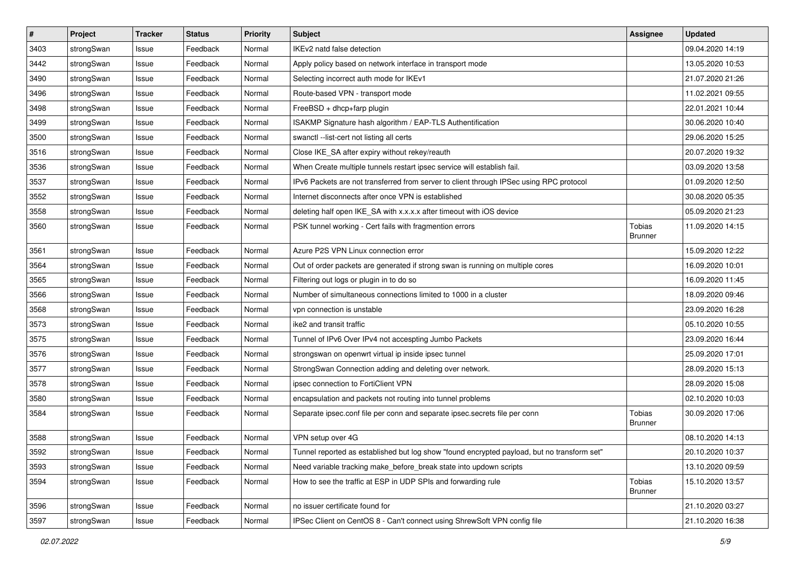| #    | Project    | <b>Tracker</b> | <b>Status</b> | <b>Priority</b> | <b>Subject</b>                                                                              | <b>Assignee</b>          | <b>Updated</b>   |
|------|------------|----------------|---------------|-----------------|---------------------------------------------------------------------------------------------|--------------------------|------------------|
| 3403 | strongSwan | Issue          | Feedback      | Normal          | IKEv2 natd false detection                                                                  |                          | 09.04.2020 14:19 |
| 3442 | strongSwan | Issue          | Feedback      | Normal          | Apply policy based on network interface in transport mode                                   |                          | 13.05.2020 10:53 |
| 3490 | strongSwan | Issue          | Feedback      | Normal          | Selecting incorrect auth mode for IKEv1                                                     |                          | 21.07.2020 21:26 |
| 3496 | strongSwan | Issue          | Feedback      | Normal          | Route-based VPN - transport mode                                                            |                          | 11.02.2021 09:55 |
| 3498 | strongSwan | Issue          | Feedback      | Normal          | FreeBSD + dhcp+farp plugin                                                                  |                          | 22.01.2021 10:44 |
| 3499 | strongSwan | Issue          | Feedback      | Normal          | ISAKMP Signature hash algorithm / EAP-TLS Authentification                                  |                          | 30.06.2020 10:40 |
| 3500 | strongSwan | Issue          | Feedback      | Normal          | swanctl --list-cert not listing all certs                                                   |                          | 29.06.2020 15:25 |
| 3516 | strongSwan | Issue          | Feedback      | Normal          | Close IKE_SA after expiry without rekey/reauth                                              |                          | 20.07.2020 19:32 |
| 3536 | strongSwan | Issue          | Feedback      | Normal          | When Create multiple tunnels restart ipsec service will establish fail.                     |                          | 03.09.2020 13:58 |
| 3537 | strongSwan | Issue          | Feedback      | Normal          | IPv6 Packets are not transferred from server to client through IPSec using RPC protocol     |                          | 01.09.2020 12:50 |
| 3552 | strongSwan | Issue          | Feedback      | Normal          | Internet disconnects after once VPN is established                                          |                          | 30.08.2020 05:35 |
| 3558 | strongSwan | Issue          | Feedback      | Normal          | deleting half open IKE_SA with x.x.x.x after timeout with iOS device                        |                          | 05.09.2020 21:23 |
| 3560 | strongSwan | Issue          | Feedback      | Normal          | PSK tunnel working - Cert fails with fragmention errors                                     | Tobias<br><b>Brunner</b> | 11.09.2020 14:15 |
| 3561 | strongSwan | Issue          | Feedback      | Normal          | Azure P2S VPN Linux connection error                                                        |                          | 15.09.2020 12:22 |
| 3564 | strongSwan | Issue          | Feedback      | Normal          | Out of order packets are generated if strong swan is running on multiple cores              |                          | 16.09.2020 10:01 |
| 3565 | strongSwan | Issue          | Feedback      | Normal          | Filtering out logs or plugin in to do so                                                    |                          | 16.09.2020 11:45 |
| 3566 | strongSwan | Issue          | Feedback      | Normal          | Number of simultaneous connections limited to 1000 in a cluster                             |                          | 18.09.2020 09:46 |
| 3568 | strongSwan | Issue          | Feedback      | Normal          | vpn connection is unstable                                                                  |                          | 23.09.2020 16:28 |
| 3573 | strongSwan | Issue          | Feedback      | Normal          | ike2 and transit traffic                                                                    |                          | 05.10.2020 10:55 |
| 3575 | strongSwan | Issue          | Feedback      | Normal          | Tunnel of IPv6 Over IPv4 not accespting Jumbo Packets                                       |                          | 23.09.2020 16:44 |
| 3576 | strongSwan | Issue          | Feedback      | Normal          | strongswan on openwrt virtual ip inside ipsec tunnel                                        |                          | 25.09.2020 17:01 |
| 3577 | strongSwan | Issue          | Feedback      | Normal          | StrongSwan Connection adding and deleting over network.                                     |                          | 28.09.2020 15:13 |
| 3578 | strongSwan | Issue          | Feedback      | Normal          | ipsec connection to FortiClient VPN                                                         |                          | 28.09.2020 15:08 |
| 3580 | strongSwan | Issue          | Feedback      | Normal          | encapsulation and packets not routing into tunnel problems                                  |                          | 02.10.2020 10:03 |
| 3584 | strongSwan | Issue          | Feedback      | Normal          | Separate ipsec.conf file per conn and separate ipsec.secrets file per conn                  | Tobias<br><b>Brunner</b> | 30.09.2020 17:06 |
| 3588 | strongSwan | Issue          | Feedback      | Normal          | VPN setup over 4G                                                                           |                          | 08.10.2020 14:13 |
| 3592 | strongSwan | Issue          | Feedback      | Normal          | Tunnel reported as established but log show "found encrypted payload, but no transform set" |                          | 20.10.2020 10:37 |
| 3593 | strongSwan | Issue          | Feedback      | Normal          | Need variable tracking make_before_break state into updown scripts                          |                          | 13.10.2020 09:59 |
| 3594 | strongSwan | Issue          | Feedback      | Normal          | How to see the traffic at ESP in UDP SPIs and forwarding rule                               | Tobias<br><b>Brunner</b> | 15.10.2020 13:57 |
| 3596 | strongSwan | Issue          | Feedback      | Normal          | no issuer certificate found for                                                             |                          | 21.10.2020 03:27 |
| 3597 | strongSwan | Issue          | Feedback      | Normal          | IPSec Client on CentOS 8 - Can't connect using ShrewSoft VPN config file                    |                          | 21.10.2020 16:38 |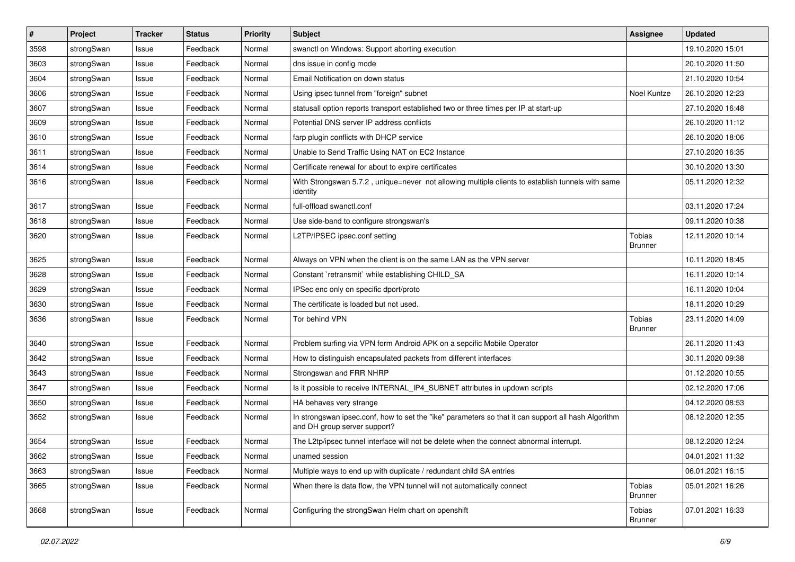| $\pmb{\#}$ | Project    | <b>Tracker</b> | <b>Status</b> | <b>Priority</b> | Subject                                                                                                                             | <b>Assignee</b>                 | <b>Updated</b>   |
|------------|------------|----------------|---------------|-----------------|-------------------------------------------------------------------------------------------------------------------------------------|---------------------------------|------------------|
| 3598       | strongSwan | Issue          | Feedback      | Normal          | swanctl on Windows: Support aborting execution                                                                                      |                                 | 19.10.2020 15:01 |
| 3603       | strongSwan | Issue          | Feedback      | Normal          | dns issue in config mode                                                                                                            |                                 | 20.10.2020 11:50 |
| 3604       | strongSwan | Issue          | Feedback      | Normal          | Email Notification on down status                                                                                                   |                                 | 21.10.2020 10:54 |
| 3606       | strongSwan | Issue          | Feedback      | Normal          | Using ipsec tunnel from "foreign" subnet                                                                                            | Noel Kuntze                     | 26.10.2020 12:23 |
| 3607       | strongSwan | Issue          | Feedback      | Normal          | statusall option reports transport established two or three times per IP at start-up                                                |                                 | 27.10.2020 16:48 |
| 3609       | strongSwan | Issue          | Feedback      | Normal          | Potential DNS server IP address conflicts                                                                                           |                                 | 26.10.2020 11:12 |
| 3610       | strongSwan | Issue          | Feedback      | Normal          | farp plugin conflicts with DHCP service                                                                                             |                                 | 26.10.2020 18:06 |
| 3611       | strongSwan | Issue          | Feedback      | Normal          | Unable to Send Traffic Using NAT on EC2 Instance                                                                                    |                                 | 27.10.2020 16:35 |
| 3614       | strongSwan | Issue          | Feedback      | Normal          | Certificate renewal for about to expire certificates                                                                                |                                 | 30.10.2020 13:30 |
| 3616       | strongSwan | Issue          | Feedback      | Normal          | With Strongswan 5.7.2, unique=never not allowing multiple clients to establish tunnels with same<br>identity                        |                                 | 05.11.2020 12:32 |
| 3617       | strongSwan | Issue          | Feedback      | Normal          | full-offload swanctl.conf                                                                                                           |                                 | 03.11.2020 17:24 |
| 3618       | strongSwan | Issue          | Feedback      | Normal          | Use side-band to configure strongswan's                                                                                             |                                 | 09.11.2020 10:38 |
| 3620       | strongSwan | Issue          | Feedback      | Normal          | L2TP/IPSEC ipsec.conf setting                                                                                                       | <b>Tobias</b><br><b>Brunner</b> | 12.11.2020 10:14 |
| 3625       | strongSwan | Issue          | Feedback      | Normal          | Always on VPN when the client is on the same LAN as the VPN server                                                                  |                                 | 10.11.2020 18:45 |
| 3628       | strongSwan | Issue          | Feedback      | Normal          | Constant `retransmit` while establishing CHILD_SA                                                                                   |                                 | 16.11.2020 10:14 |
| 3629       | strongSwan | Issue          | Feedback      | Normal          | IPSec enc only on specific dport/proto                                                                                              |                                 | 16.11.2020 10:04 |
| 3630       | strongSwan | Issue          | Feedback      | Normal          | The certificate is loaded but not used.                                                                                             |                                 | 18.11.2020 10:29 |
| 3636       | strongSwan | Issue          | Feedback      | Normal          | Tor behind VPN                                                                                                                      | Tobias<br><b>Brunner</b>        | 23.11.2020 14:09 |
| 3640       | strongSwan | Issue          | Feedback      | Normal          | Problem surfing via VPN form Android APK on a sepcific Mobile Operator                                                              |                                 | 26.11.2020 11:43 |
| 3642       | strongSwan | Issue          | Feedback      | Normal          | How to distinguish encapsulated packets from different interfaces                                                                   |                                 | 30.11.2020 09:38 |
| 3643       | strongSwan | Issue          | Feedback      | Normal          | Strongswan and FRR NHRP                                                                                                             |                                 | 01.12.2020 10:55 |
| 3647       | strongSwan | Issue          | Feedback      | Normal          | Is it possible to receive INTERNAL_IP4_SUBNET attributes in updown scripts                                                          |                                 | 02.12.2020 17:06 |
| 3650       | strongSwan | Issue          | Feedback      | Normal          | HA behaves very strange                                                                                                             |                                 | 04.12.2020 08:53 |
| 3652       | strongSwan | Issue          | Feedback      | Normal          | In strongswan ipsec.conf, how to set the "ike" parameters so that it can support all hash Algorithm<br>and DH group server support? |                                 | 08.12.2020 12:35 |
| 3654       | strongSwan | Issue          | Feedback      | Normal          | The L2tp/ipsec tunnel interface will not be delete when the connect abnormal interrupt.                                             |                                 | 08.12.2020 12:24 |
| 3662       | strongSwan | Issue          | Feedback      | Normal          | unamed session                                                                                                                      |                                 | 04.01.2021 11:32 |
| 3663       | strongSwan | Issue          | Feedback      | Normal          | Multiple ways to end up with duplicate / redundant child SA entries                                                                 |                                 | 06.01.2021 16:15 |
| 3665       | strongSwan | Issue          | Feedback      | Normal          | When there is data flow, the VPN tunnel will not automatically connect                                                              | Tobias<br><b>Brunner</b>        | 05.01.2021 16:26 |
| 3668       | strongSwan | Issue          | Feedback      | Normal          | Configuring the strongSwan Helm chart on openshift                                                                                  | Tobias<br><b>Brunner</b>        | 07.01.2021 16:33 |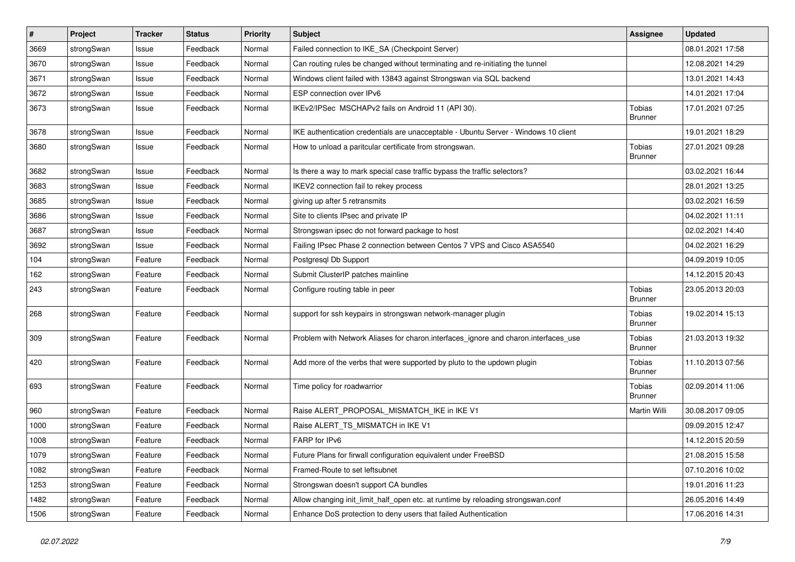| $\sharp$ | Project    | <b>Tracker</b> | <b>Status</b> | <b>Priority</b> | <b>Subject</b>                                                                      | <b>Assignee</b>          | <b>Updated</b>   |
|----------|------------|----------------|---------------|-----------------|-------------------------------------------------------------------------------------|--------------------------|------------------|
| 3669     | strongSwan | Issue          | Feedback      | Normal          | Failed connection to IKE_SA (Checkpoint Server)                                     |                          | 08.01.2021 17:58 |
| 3670     | strongSwan | Issue          | Feedback      | Normal          | Can routing rules be changed without terminating and re-initiating the tunnel       |                          | 12.08.2021 14:29 |
| 3671     | strongSwan | Issue          | Feedback      | Normal          | Windows client failed with 13843 against Strongswan via SQL backend                 |                          | 13.01.2021 14:43 |
| 3672     | strongSwan | Issue          | Feedback      | Normal          | ESP connection over IPv6                                                            |                          | 14.01.2021 17:04 |
| 3673     | strongSwan | Issue          | Feedback      | Normal          | IKEv2/IPSec MSCHAPv2 fails on Android 11 (API 30).                                  | Tobias<br><b>Brunner</b> | 17.01.2021 07:25 |
| 3678     | strongSwan | Issue          | Feedback      | Normal          | IKE authentication credentials are unacceptable - Ubuntu Server - Windows 10 client |                          | 19.01.2021 18:29 |
| 3680     | strongSwan | Issue          | Feedback      | Normal          | How to unload a paritcular certificate from strongswan.                             | Tobias<br><b>Brunner</b> | 27.01.2021 09:28 |
| 3682     | strongSwan | Issue          | Feedback      | Normal          | Is there a way to mark special case traffic bypass the traffic selectors?           |                          | 03.02.2021 16:44 |
| 3683     | strongSwan | Issue          | Feedback      | Normal          | IKEV2 connection fail to rekey process                                              |                          | 28.01.2021 13:25 |
| 3685     | strongSwan | Issue          | Feedback      | Normal          | giving up after 5 retransmits                                                       |                          | 03.02.2021 16:59 |
| 3686     | strongSwan | Issue          | Feedback      | Normal          | Site to clients IPsec and private IP                                                |                          | 04.02.2021 11:11 |
| 3687     | strongSwan | Issue          | Feedback      | Normal          | Strongswan ipsec do not forward package to host                                     |                          | 02.02.2021 14:40 |
| 3692     | strongSwan | Issue          | Feedback      | Normal          | Failing IPsec Phase 2 connection between Centos 7 VPS and Cisco ASA5540             |                          | 04.02.2021 16:29 |
| 104      | strongSwan | Feature        | Feedback      | Normal          | Postgresql Db Support                                                               |                          | 04.09.2019 10:05 |
| 162      | strongSwan | Feature        | Feedback      | Normal          | Submit ClusterIP patches mainline                                                   |                          | 14.12.2015 20:43 |
| 243      | strongSwan | Feature        | Feedback      | Normal          | Configure routing table in peer                                                     | Tobias<br><b>Brunner</b> | 23.05.2013 20:03 |
| 268      | strongSwan | Feature        | Feedback      | Normal          | support for ssh keypairs in strongswan network-manager plugin                       | Tobias<br>Brunner        | 19.02.2014 15:13 |
| 309      | strongSwan | Feature        | Feedback      | Normal          | Problem with Network Aliases for charon.interfaces_ignore and charon.interfaces_use | Tobias<br><b>Brunner</b> | 21.03.2013 19:32 |
| 420      | strongSwan | Feature        | Feedback      | Normal          | Add more of the verbs that were supported by pluto to the updown plugin             | Tobias<br><b>Brunner</b> | 11.10.2013 07:56 |
| 693      | strongSwan | Feature        | Feedback      | Normal          | Time policy for roadwarrior                                                         | Tobias<br><b>Brunner</b> | 02.09.2014 11:06 |
| 960      | strongSwan | Feature        | Feedback      | Normal          | Raise ALERT_PROPOSAL_MISMATCH_IKE in IKE V1                                         | Martin Willi             | 30.08.2017 09:05 |
| 1000     | strongSwan | Feature        | Feedback      | Normal          | Raise ALERT_TS_MISMATCH in IKE V1                                                   |                          | 09.09.2015 12:47 |
| 1008     | strongSwan | Feature        | Feedback      | Normal          | FARP for IPv6                                                                       |                          | 14.12.2015 20:59 |
| 1079     | strongSwan | Feature        | Feedback      | Normal          | Future Plans for firwall configuration equivalent under FreeBSD                     |                          | 21.08.2015 15:58 |
| 1082     | strongSwan | Feature        | Feedback      | Normal          | Framed-Route to set leftsubnet                                                      |                          | 07.10.2016 10:02 |
| 1253     | strongSwan | Feature        | Feedback      | Normal          | Strongswan doesn't support CA bundles                                               |                          | 19.01.2016 11:23 |
| 1482     | strongSwan | Feature        | Feedback      | Normal          | Allow changing init_limit_half_open etc. at runtime by reloading strongswan.conf    |                          | 26.05.2016 14:49 |
| 1506     | strongSwan | Feature        | Feedback      | Normal          | Enhance DoS protection to deny users that failed Authentication                     |                          | 17.06.2016 14:31 |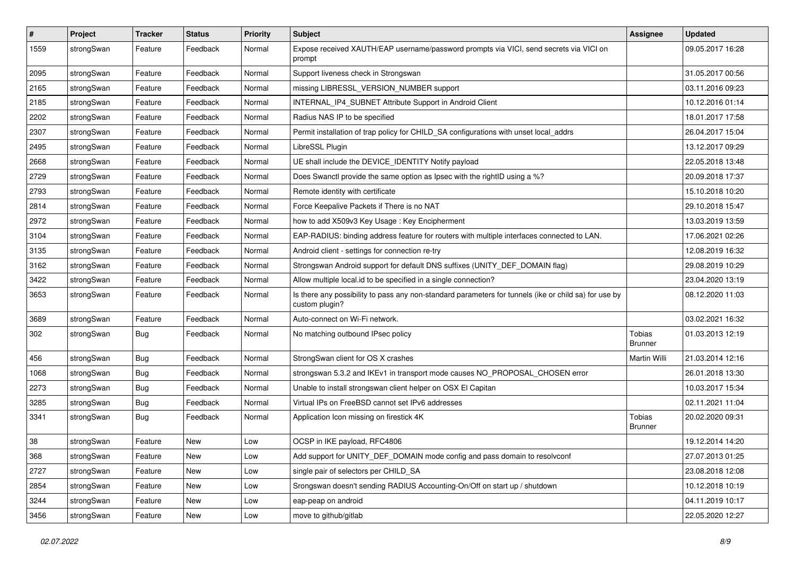| $\sharp$ | Project    | <b>Tracker</b> | <b>Status</b> | <b>Priority</b> | <b>Subject</b>                                                                                                          | <b>Assignee</b>          | <b>Updated</b>   |
|----------|------------|----------------|---------------|-----------------|-------------------------------------------------------------------------------------------------------------------------|--------------------------|------------------|
| 1559     | strongSwan | Feature        | Feedback      | Normal          | Expose received XAUTH/EAP username/password prompts via VICI, send secrets via VICI on<br>prompt                        |                          | 09.05.2017 16:28 |
| 2095     | strongSwan | Feature        | Feedback      | Normal          | Support liveness check in Strongswan                                                                                    |                          | 31.05.2017 00:56 |
| 2165     | strongSwan | Feature        | Feedback      | Normal          | missing LIBRESSL_VERSION_NUMBER support                                                                                 |                          | 03.11.2016 09:23 |
| 2185     | strongSwan | Feature        | Feedback      | Normal          | INTERNAL_IP4_SUBNET Attribute Support in Android Client                                                                 |                          | 10.12.2016 01:14 |
| 2202     | strongSwan | Feature        | Feedback      | Normal          | Radius NAS IP to be specified                                                                                           |                          | 18.01.2017 17:58 |
| 2307     | strongSwan | Feature        | Feedback      | Normal          | Permit installation of trap policy for CHILD_SA configurations with unset local_addrs                                   |                          | 26.04.2017 15:04 |
| 2495     | strongSwan | Feature        | Feedback      | Normal          | LibreSSL Plugin                                                                                                         |                          | 13.12.2017 09:29 |
| 2668     | strongSwan | Feature        | Feedback      | Normal          | UE shall include the DEVICE_IDENTITY Notify payload                                                                     |                          | 22.05.2018 13:48 |
| 2729     | strongSwan | Feature        | Feedback      | Normal          | Does Swanctl provide the same option as Ipsec with the rightID using a %?                                               |                          | 20.09.2018 17:37 |
| 2793     | strongSwan | Feature        | Feedback      | Normal          | Remote identity with certificate                                                                                        |                          | 15.10.2018 10:20 |
| 2814     | strongSwan | Feature        | Feedback      | Normal          | Force Keepalive Packets if There is no NAT                                                                              |                          | 29.10.2018 15:47 |
| 2972     | strongSwan | Feature        | Feedback      | Normal          | how to add X509v3 Key Usage: Key Encipherment                                                                           |                          | 13.03.2019 13:59 |
| 3104     | strongSwan | Feature        | Feedback      | Normal          | EAP-RADIUS: binding address feature for routers with multiple interfaces connected to LAN.                              |                          | 17.06.2021 02:26 |
| 3135     | strongSwan | Feature        | Feedback      | Normal          | Android client - settings for connection re-try                                                                         |                          | 12.08.2019 16:32 |
| 3162     | strongSwan | Feature        | Feedback      | Normal          | Strongswan Android support for default DNS suffixes (UNITY_DEF_DOMAIN flag)                                             |                          | 29.08.2019 10:29 |
| 3422     | strongSwan | Feature        | Feedback      | Normal          | Allow multiple local.id to be specified in a single connection?                                                         |                          | 23.04.2020 13:19 |
| 3653     | strongSwan | Feature        | Feedback      | Normal          | Is there any possibility to pass any non-standard parameters for tunnels (ike or child sa) for use by<br>custom plugin? |                          | 08.12.2020 11:03 |
| 3689     | strongSwan | Feature        | Feedback      | Normal          | Auto-connect on Wi-Fi network.                                                                                          |                          | 03.02.2021 16:32 |
| 302      | strongSwan | <b>Bug</b>     | Feedback      | Normal          | No matching outbound IPsec policy                                                                                       | Tobias<br>Brunner        | 01.03.2013 12:19 |
| 456      | strongSwan | <b>Bug</b>     | Feedback      | Normal          | StrongSwan client for OS X crashes                                                                                      | Martin Willi             | 21.03.2014 12:16 |
| 1068     | strongSwan | Bug            | Feedback      | Normal          | strongswan 5.3.2 and IKEv1 in transport mode causes NO_PROPOSAL_CHOSEN error                                            |                          | 26.01.2018 13:30 |
| 2273     | strongSwan | <b>Bug</b>     | Feedback      | Normal          | Unable to install strongswan client helper on OSX El Capitan                                                            |                          | 10.03.2017 15:34 |
| 3285     | strongSwan | <b>Bug</b>     | Feedback      | Normal          | Virtual IPs on FreeBSD cannot set IPv6 addresses                                                                        |                          | 02.11.2021 11:04 |
| 3341     | strongSwan | Bug            | Feedback      | Normal          | Application Icon missing on firestick 4K                                                                                | Tobias<br><b>Brunner</b> | 20.02.2020 09:31 |
| 38       | strongSwan | Feature        | <b>New</b>    | Low             | OCSP in IKE payload, RFC4806                                                                                            |                          | 19.12.2014 14:20 |
| 368      | strongSwan | Feature        | New           | Low             | Add support for UNITY_DEF_DOMAIN mode config and pass domain to resolvconf                                              |                          | 27.07.2013 01:25 |
| 2727     | strongSwan | Feature        | New           | Low             | single pair of selectors per CHILD SA                                                                                   |                          | 23.08.2018 12:08 |
| 2854     | strongSwan | Feature        | New           | Low             | Srongswan doesn't sending RADIUS Accounting-On/Off on start up / shutdown                                               |                          | 10.12.2018 10:19 |
| 3244     | strongSwan | Feature        | New           | Low             | eap-peap on android                                                                                                     |                          | 04.11.2019 10:17 |
| 3456     | strongSwan | Feature        | New           | Low             | move to github/gitlab                                                                                                   |                          | 22.05.2020 12:27 |